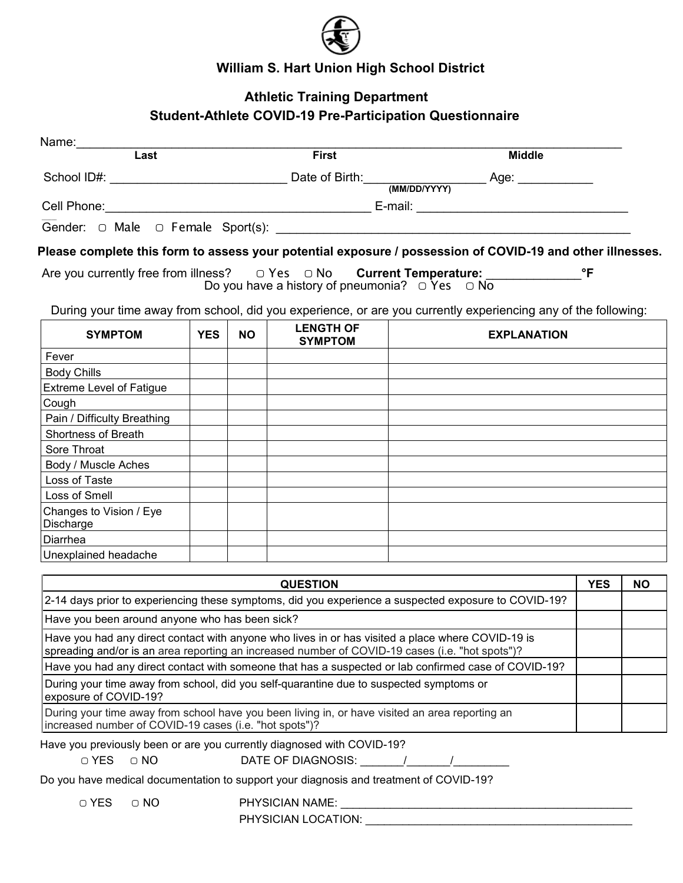

## **William S. Hart Union High School District**

## **Athletic Training Department Student-Athlete COVID-19 Pre-Participation Questionnaire**

| Name: __________<br>$\overline{\text{Last}}$                                                                                                              |            | <b>First</b> |                                    | <b>Middle</b>                                                                                                                                                                                        |              |           |
|-----------------------------------------------------------------------------------------------------------------------------------------------------------|------------|--------------|------------------------------------|------------------------------------------------------------------------------------------------------------------------------------------------------------------------------------------------------|--------------|-----------|
|                                                                                                                                                           |            |              |                                    |                                                                                                                                                                                                      |              |           |
|                                                                                                                                                           |            |              |                                    |                                                                                                                                                                                                      |              |           |
|                                                                                                                                                           |            |              |                                    |                                                                                                                                                                                                      |              |           |
|                                                                                                                                                           |            |              |                                    |                                                                                                                                                                                                      |              |           |
|                                                                                                                                                           |            |              |                                    |                                                                                                                                                                                                      |              |           |
|                                                                                                                                                           |            |              |                                    | Please complete this form to assess your potential exposure / possession of COVID-19 and other illnesses.                                                                                            |              |           |
|                                                                                                                                                           |            |              |                                    | Are you currently free from illness? $\Box$ Yes $\Box$ No <b>Current Temperature:</b>                                                                                                                | $\mathsf{P}$ |           |
|                                                                                                                                                           |            |              |                                    | Do you have a history of pneumonia? $\bigcirc$ Yes $\bigcirc$ No                                                                                                                                     |              |           |
|                                                                                                                                                           |            |              |                                    |                                                                                                                                                                                                      |              |           |
|                                                                                                                                                           |            |              |                                    | During your time away from school, did you experience, or are you currently experiencing any of the following:                                                                                       |              |           |
| <b>SYMPTOM</b>                                                                                                                                            | <b>YES</b> | <b>NO</b>    | <b>LENGTH OF</b><br><b>SYMPTOM</b> | <b>EXPLANATION</b>                                                                                                                                                                                   |              |           |
| Fever                                                                                                                                                     |            |              |                                    |                                                                                                                                                                                                      |              |           |
| <b>Body Chills</b>                                                                                                                                        |            |              |                                    |                                                                                                                                                                                                      |              |           |
| <b>Extreme Level of Fatigue</b>                                                                                                                           |            |              |                                    |                                                                                                                                                                                                      |              |           |
| Cough                                                                                                                                                     |            |              |                                    |                                                                                                                                                                                                      |              |           |
| Pain / Difficulty Breathing                                                                                                                               |            |              |                                    |                                                                                                                                                                                                      |              |           |
| Shortness of Breath                                                                                                                                       |            |              |                                    |                                                                                                                                                                                                      |              |           |
| Sore Throat                                                                                                                                               |            |              |                                    |                                                                                                                                                                                                      |              |           |
| Body / Muscle Aches                                                                                                                                       |            |              |                                    |                                                                                                                                                                                                      |              |           |
| Loss of Taste                                                                                                                                             |            |              |                                    |                                                                                                                                                                                                      |              |           |
| Loss of Smell                                                                                                                                             |            |              |                                    |                                                                                                                                                                                                      |              |           |
| Changes to Vision / Eye<br>Discharge                                                                                                                      |            |              |                                    |                                                                                                                                                                                                      |              |           |
| Diarrhea                                                                                                                                                  |            |              |                                    |                                                                                                                                                                                                      |              |           |
| Unexplained headache                                                                                                                                      |            |              |                                    |                                                                                                                                                                                                      |              |           |
|                                                                                                                                                           |            |              |                                    |                                                                                                                                                                                                      |              |           |
|                                                                                                                                                           |            |              | <b>QUESTION</b>                    |                                                                                                                                                                                                      | <b>YES</b>   | <b>NO</b> |
|                                                                                                                                                           |            |              |                                    | 2-14 days prior to experiencing these symptoms, did you experience a suspected exposure to COVID-19?                                                                                                 |              |           |
| Have you been around anyone who has been sick?                                                                                                            |            |              |                                    |                                                                                                                                                                                                      |              |           |
|                                                                                                                                                           |            |              |                                    | Have you had any direct contact with anyone who lives in or has visited a place where COVID-19 is<br>spreading and/or is an area reporting an increased number of COVID-19 cases (i.e. "hot spots")? |              |           |
|                                                                                                                                                           |            |              |                                    | Have you had any direct contact with someone that has a suspected or lab confirmed case of COVID-19?                                                                                                 |              |           |
| During your time away from school, did you self-quarantine due to suspected symptoms or<br>exposure of COVID-19?                                          |            |              |                                    |                                                                                                                                                                                                      |              |           |
| During your time away from school have you been living in, or have visited an area reporting an<br>increased number of COVID-19 cases (i.e. "hot spots")? |            |              |                                    |                                                                                                                                                                                                      |              |           |
| Have you previously been or are you currently diagnosed with COVID-19?                                                                                    |            |              |                                    |                                                                                                                                                                                                      |              |           |
| OYES ONO                                                                                                                                                  |            |              | DATE OF DIAGNOSIS:                 |                                                                                                                                                                                                      |              |           |

Do you have medical documentation to support your diagnosis and treatment of COVID-19?

▢ YES ▢ NO PHYSICIAN NAME: \_\_\_\_\_\_\_\_\_\_\_\_\_\_\_\_\_\_\_\_\_\_\_\_\_\_\_\_\_\_\_\_\_\_\_\_\_\_\_\_\_\_\_\_\_\_\_

PHYSICIAN LOCATION: \_\_\_\_\_\_\_\_\_\_\_\_\_\_\_\_\_\_\_\_\_\_\_\_\_\_\_\_\_\_\_\_\_\_\_\_\_\_\_\_\_\_\_